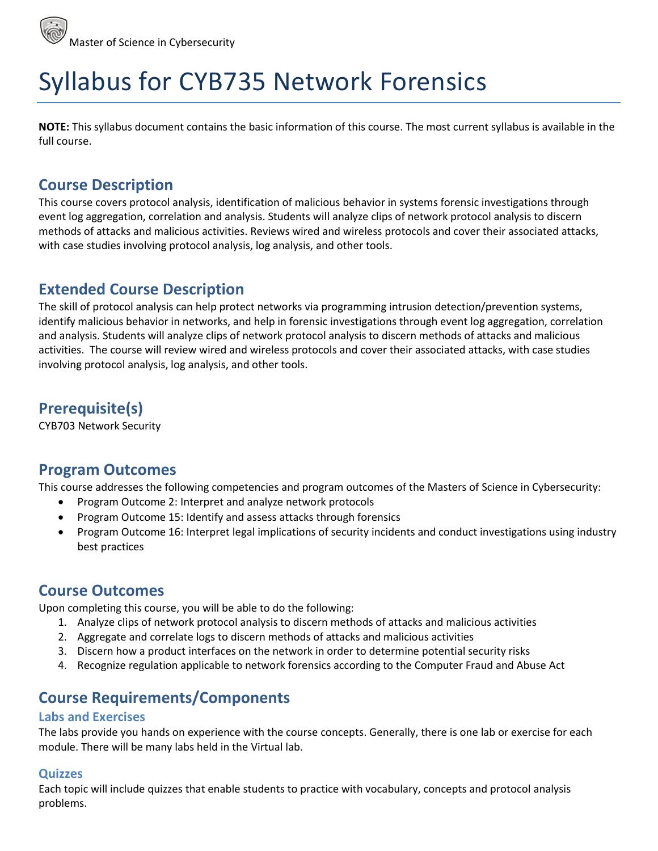# Syllabus for CYB735 Network Forensics

**NOTE:** This syllabus document contains the basic information of this course. The most current syllabus is available in the full course.

## **Course Description**

This course covers protocol analysis, identification of malicious behavior in systems forensic investigations through event log aggregation, correlation and analysis. Students will analyze clips of network protocol analysis to discern methods of attacks and malicious activities. Reviews wired and wireless protocols and cover their associated attacks, with case studies involving protocol analysis, log analysis, and other tools.

# **Extended Course Description**

The skill of protocol analysis can help protect networks via programming intrusion detection/prevention systems, identify malicious behavior in networks, and help in forensic investigations through event log aggregation, correlation and analysis. Students will analyze clips of network protocol analysis to discern methods of attacks and malicious activities. The course will review wired and wireless protocols and cover their associated attacks, with case studies involving protocol analysis, log analysis, and other tools.

# **Prerequisite(s)**

CYB703 Network Security

## **Program Outcomes**

This course addresses the following competencies and program outcomes of the Masters of Science in Cybersecurity:

- Program Outcome 2: Interpret and analyze network protocols
- Program Outcome 15: Identify and assess attacks through forensics
- Program Outcome 16: Interpret legal implications of security incidents and conduct investigations using industry best practices

## **Course Outcomes**

Upon completing this course, you will be able to do the following:

- 1. Analyze clips of network protocol analysis to discern methods of attacks and malicious activities
- 2. Aggregate and correlate logs to discern methods of attacks and malicious activities
- 3. Discern how a product interfaces on the network in order to determine potential security risks
- 4. Recognize regulation applicable to network forensics according to the Computer Fraud and Abuse Act

## **Course Requirements/Components**

## **Labs and Exercises**

The labs provide you hands on experience with the course concepts. Generally, there is one lab or exercise for each module. There will be many labs held in the Virtual lab.

## **Quizzes**

Each topic will include quizzes that enable students to practice with vocabulary, concepts and protocol analysis problems.